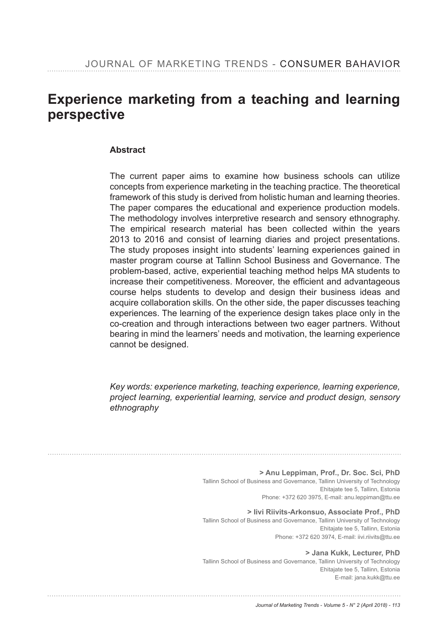## Experience marketing from a teaching and learning **perspective**

#### **Abstract**

The current paper aims to examine how business schools can utilize concepts from experience marketing in the teaching practice. The theoretical framework of this study is derived from holistic human and learning theories. The paper compares the educational and experience production models. The methodology involves interpretive research and sensory ethnography. The empirical research material has been collected within the years 2013 to 2016 and consist of learning diaries and project presentations. The study proposes insight into students' learning experiences gained in master program course at Tallinn School Business and Governance. The problem-based, active, experiential teaching method helps MA students to increase their competitiveness. Moreover, the efficient and advantageous course helps students to develop and design their business ideas and acquire collaboration skills. On the other side, the paper discusses teaching experiences. The learning of the experience design takes place only in the co-creation and through interactions between two eager partners. Without bearing in mind the learners' needs and motivation, the learning experience cannot be designed.

*Key words: experience marketing, teaching experience, learning experience, project learning, experiential learning, service and product design, sensory ethnography*

> **> Anu Leppiman, Prof., Dr. Soc. Sci, PhD** Tallinn School of Business and Governance, Tallinn University of Technology Ehitajate tee 5, Tallinn, Estonia Phone: +372 620 3975, E-mail: anu.leppiman@ttu.ee

> **> Iivi Riivits-Arkonsuo, Associate Prof., PhD** Tallinn School of Business and Governance, Tallinn University of Technology Ehitajate tee 5, Tallinn, Estonia Phone: +372 620 3974, E-mail: iivi.riivits@ttu.ee

> **> Jana Kukk, Lecturer, PhD** Tallinn School of Business and Governance, Tallinn University of Technology Ehitajate tee 5, Tallinn, Estonia E-mail: jana.kukk@ttu.ee

#### *Journal of Marketing Trends - Volume 5 - N° 2 (April 2018) - 113*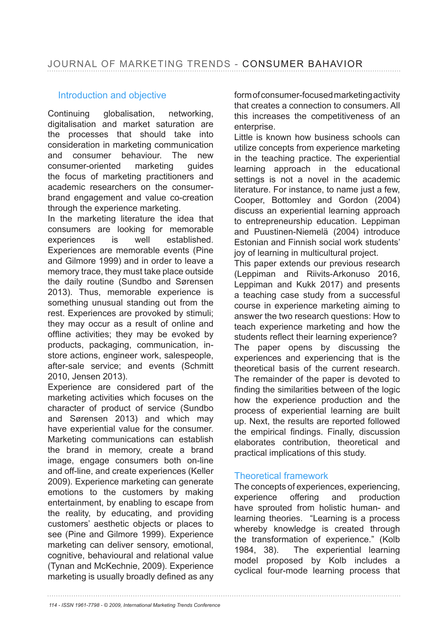### Introduction and objective

Continuing globalisation, networking, digitalisation and market saturation are the processes that should take into consideration in marketing communication and consumer behaviour. The new consumer-oriented marketing guides the focus of marketing practitioners and academic researchers on the consumerbrand engagement and value co-creation through the experience marketing.

In the marketing literature the idea that consumers are looking for memorable experiences is well established. Experiences are memorable events (Pine and Gilmore 1999) and in order to leave a memory trace, they must take place outside the daily routine (Sundbo and Sørensen 2013). Thus, memorable experience is something unusual standing out from the rest. Experiences are provoked by stimuli; they may occur as a result of online and offline activities; they may be evoked by products, packaging, communication, instore actions, engineer work, salespeople, after-sale service; and events (Schmitt 2010, Jensen 2013).

Experience are considered part of the marketing activities which focuses on the character of product of service (Sundbo and Sørensen 2013) and which may have experiential value for the consumer. Marketing communications can establish the brand in memory, create a brand image, engage consumers both on-line and off-line, and create experiences (Keller 2009). Experience marketing can generate emotions to the customers by making entertainment, by enabling to escape from the reality, by educating, and providing customers' aesthetic objects or places to see (Pine and Gilmore 1999). Experience marketing can deliver sensory, emotional, cognitive, behavioural and relational value (Tynan and McKechnie, 2009). Experience marketing is usually broadly defined as any

form of consumer-focused marketing activity that creates a connection to consumers. All this increases the competitiveness of an enterprise.

Little is known how business schools can utilize concepts from experience marketing in the teaching practice. The experiential learning approach in the educational settings is not a novel in the academic literature. For instance, to name just a few, Cooper, Bottomley and Gordon (2004) discuss an experiential learning approach to entrepreneurship education. Leppiman and Puustinen-Niemelä (2004) introduce Estonian and Finnish social work students' joy of learning in multicultural project.

This paper extends our previous research (Leppiman and Riivits-Arkonuso 2016, Leppiman and Kukk 2017) and presents a teaching case study from a successful course in experience marketing aiming to answer the two research questions: How to teach experience marketing and how the students reflect their learning experience? The paper opens by discussing the experiences and experiencing that is the theoretical basis of the current research. The remainder of the paper is devoted to finding the similarities between of the logic how the experience production and the process of experiential learning are built up. Next, the results are reported followed the empirical findings. Finally, discussion elaborates contribution, theoretical and practical implications of this study.

#### Theoretical framework

The concepts of experiences, experiencing, experience offering and production have sprouted from holistic human- and learning theories. "Learning is a process whereby knowledge is created through the transformation of experience." (Kolb 1984, 38). The experiential learning model proposed by Kolb includes a cyclical four-mode learning process that

*114 - ISSN 1961-7798 - © 2009, International Marketing Trends Conference*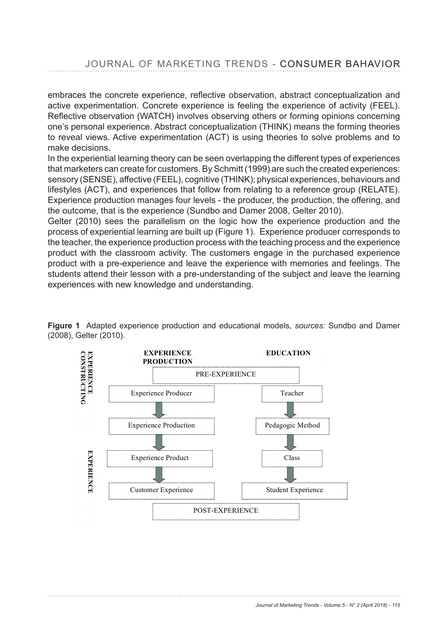JOURNAL OF MARKETING TRENDS - CONSUMER BAHAVIOR

embraces the concrete experience, reflective observation, abstract conceptualization and active experimentation. Concrete experience is feeling the experience of activity (FEEL). Reflective observation (WATCH) involves observing others or forming opinions concerning one's personal experience. Abstract conceptualization (THINK) means the forming theories to reveal views. Active experimentation (ACT) is using theories to solve problems and to make decisions.

In the experiential learning theory can be seen overlapping the different types of experiences that marketers can create for customers. By Schmitt (1999) are such the created experiences: sensory (SENSE), affective (FEEL), cognitive (THINK); physical experiences, behaviours and lifestyles (ACT), and experiences that follow from relating to a reference group (RELATE). Experience production manages four levels - the producer, the production, the offering, and the outcome, that is the experience (Sundbo and Damer 2008, Gelter 2010).

Gelter (2010) sees the parallelism on the logic how the experience production and the process of experiential learning are built up (Figure 1). Experience producer corresponds to the teacher, the experience production process with the teaching process and the experience product with the classroom activity. The customers engage in the purchased experience .<br>product with a pre-experience and leave the experience with memories and feelings. The tudents attend their lesson with a pre-understanding of the subject and leave the learning experiences with new knowledge and understanding. with a present the subject and leave the subject and leave the learning.



Figure 1 Adapted experience production and educational models, *sources:* Sundbo and Damer (2008), Gelter (2010). riguie i Al<br>(2000). Ostra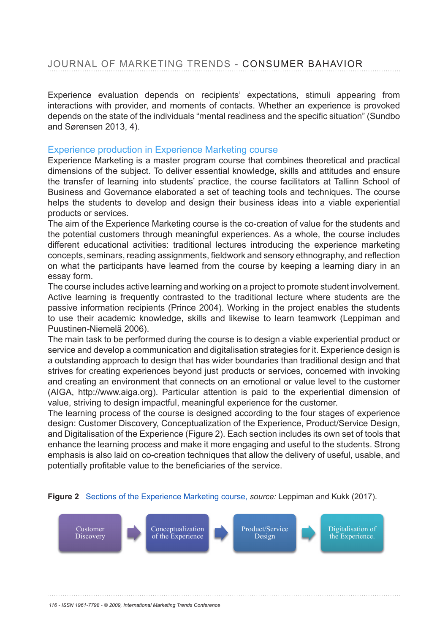Experience evaluation depends on recipients' expectations, stimuli appearing from interactions with provider, and moments of contacts. Whether an experience is provoked depends on the state of the individuals "mental readiness and the specific situation" (Sundbo and Sørensen 2013, 4).

#### Experience production in Experience Marketing course

Experience Marketing is a master program course that combines theoretical and practical dimensions of the subject. To deliver essential knowledge, skills and attitudes and ensure the transfer of learning into students' practice, the course facilitators at Tallinn School of Business and Governance elaborated a set of teaching tools and techniques. The course helps the students to develop and design their business ideas into a viable experiential products or services.

The aim of the Experience Marketing course is the co-creation of value for the students and the potential customers through meaningful experiences. As a whole, the course includes different educational activities: traditional lectures introducing the experience marketing concepts, seminars, reading assignments, fieldwork and sensory ethnography, and reflection on what the participants have learned from the course by keeping a learning diary in an essay form. The concepts of the seminars, reading assignments, fieldwork and sensory ethnography, and reflection on  $\mathbb{R}$ 

The course includes active learning and working on a project to promote student involvement. Active learning is frequently contrasted to the traditional lecture where students are the passive information recipients (Prince 2004). Working in the project enables the students to use their academic knowledge, skills and likewise to learn teamwork (Leppiman and Puustinen-Niemelä 2006). Puustinen Niemelä 2006).

The main task to be performed during the course is to design a viable experiential product or The main task to be performed during the course to to design a main estipartimal product of<br>Service and develop a communication and digitalisation strategies for it. Experience design is service and develop a communication and digitalization chategies for it. Experience design to a outstanding approach to design that has wider boundaries than traditional design and that a calcidationly approach to design that has wider boundaries than traditional design and that strives for creating experiences beyond just products or services, concerned with invoking anves for creating experiences beyond just products or services, concerned with invoking<br>and creating an environment that connects on an emotional or value level to the customer and creating an environment that connects on an emotional or value level to the customer (AIGA, http://www.aiga.org). Particular attention is paid to the experiential dimension of value, striving to design impactful, meaningful experience for the customer.<br>The design impact of the course is designed according to the faunchers  $h_{\text{max}}$ , intp.//www.aiga.org/. Particular attention is paid to the experiential dimension  $v_{\text{max}}$ 

The learning process of the course is designed according to the four stages of experience design: Customer Discovery, Conceptualization of the Experience, Product/Service Design, and Digitalisation of the Experience (Figure 2). Each section includes its own set of tools that Digitalisation of the Experience (Figure 2). Each section includes its own set of tools that enhance the learning process and make it more engaging and useful to the students. Strong enhance the learning process and make it more engaging and useful to the students. Stro emphasis is also laid on co-creation techniques that allow the delivery of useful, usable, and emphasis is also laid on co creation techniques that allow the delivery of useful, usable, and potentially profitable value to the beneficiaries of the service.



#### Figure 2 Sections of the Experience Marketing course, *source:* Leppiman and Kukk (2017).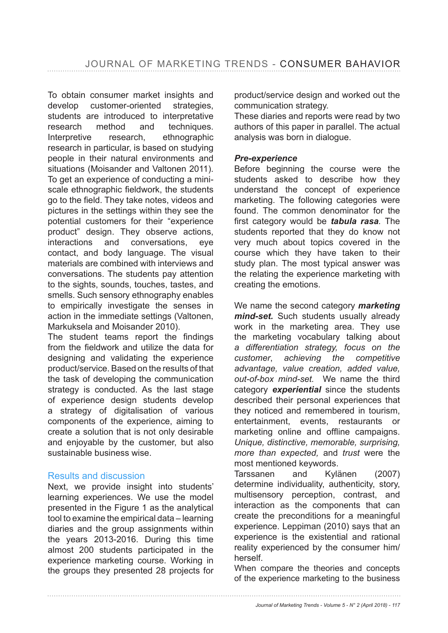To obtain consumer market insights and develop customer-oriented strategies, students are introduced to interpretative research method and techniques. Interpretive research, ethnographic research in particular, is based on studying people in their natural environments and situations (Moisander and Valtonen 2011). To get an experience of conducting a miniscale ethnographic fieldwork, the students go to the field. They take notes, videos and pictures in the settings within they see the potential customers for their "experience product" design. They observe actions, interactions and conversations, eye contact, and body language. The visual materials are combined with interviews and conversations. The students pay attention to the sights, sounds, touches, tastes, and smells. Such sensory ethnography enables to empirically investigate the senses in action in the immediate settings (Valtonen, Markuksela and Moisander 2010).

The student teams report the findings from the fieldwork and utilize the data for designing and validating the experience product/service. Based on the results of that the task of developing the communication strategy is conducted. As the last stage of experience design students develop a strategy of digitalisation of various components of the experience, aiming to create a solution that is not only desirable and enjoyable by the customer, but also sustainable business wise.

#### Results and discussion

Next, we provide insight into students' learning experiences. We use the model presented in the Figure 1 as the analytical tool to examine the empirical data – learning diaries and the group assignments within the years 2013-2016. During this time almost 200 students participated in the experience marketing course. Working in the groups they presented 28 projects for

product/service design and worked out the communication strategy.

These diaries and reports were read by two authors of this paper in parallel. The actual analysis was born in dialogue.

#### *Pre-experience*

Before beginning the course were the students asked to describe how they understand the concept of experience marketing. The following categories were found. The common denominator for the first category would be **tabula rasa**. The students reported that they do know not very much about topics covered in the course which they have taken to their study plan. The most typical answer was the relating the experience marketing with creating the emotions.

We name the second category *marketing mind-set.* Such students usually already work in the marketing area. They use the marketing vocabulary talking about *a differentiation strategy, focus on the customer*, *achieving the competitive advantage, value creation, added value, out-of-box mind-set.* We name the third category *experiential* since the students described their personal experiences that they noticed and remembered in tourism, entertainment, events, restaurants or marketing online and offline campaigns. *Unique, distinctive, memorable, surprising, more than expected,* and *trust* were the most mentioned keywords.

Tarssanen and Kylänen (2007) determine individuality, authenticity, story, multisensory perception, contrast, and interaction as the components that can create the preconditions for a meaningful experience. Leppiman (2010) says that an experience is the existential and rational reality experienced by the consumer him/ herself.

When compare the theories and concepts of the experience marketing to the business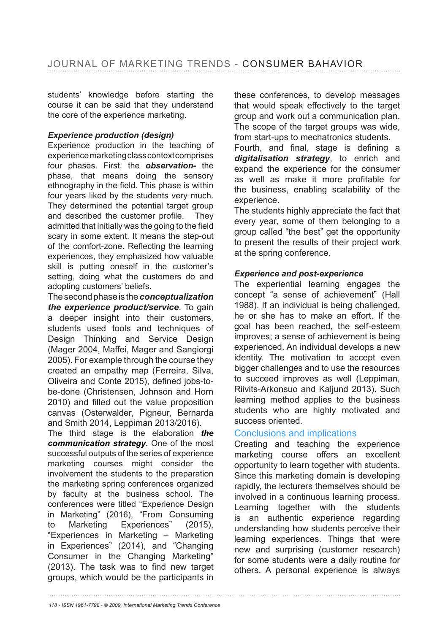students' knowledge before starting the course it can be said that they understand the core of the experience marketing.

#### *Experience production (design)*

Experience production in the teaching of experience marketing class context comprises four phases. First, the *observation-* the phase, that means doing the sensory ethnography in the field. This phase is within four years liked by the students very much. They determined the potential target group and described the customer profile. They admitted that initially was the going to the field scary in some extent. It means the step-out of the comfort-zone. Reflecting the learning experiences, they emphasized how valuable skill is putting oneself in the customer's setting, doing what the customers do and adopting customers' beliefs.

The second phase is the *conceptualization the experience product/service*. To gain a deeper insight into their customers, students used tools and techniques of Design Thinking and Service Design (Mager 2004, Maffei, Mager and Sangiorgi 2005). For example through the course they created an empathy map (Ferreira, Silva, Oliveira and Conte 2015), defined jobs-tobe-done (Christensen, Johnson and Horn 2010) and filled out the value proposition canvas (Osterwalder, Pigneur, Bernarda and Smith 2014, Leppiman 2013/2016).

The third stage is the elaboration *the communication strategy***.** One of the most successful outputs of the series of experience marketing courses might consider the involvement the students to the preparation the marketing spring conferences organized by faculty at the business school. The conferences were titled "Experience Design in Marketing" (2016), "From Consuming to Marketing Experiences" (2015), "Experiences in Marketing – Marketing in Experiences" (2014), and "Changing Consumer in the Changing Marketing"  $(2013)$ . The task was to find new target groups, which would be the participants in

these conferences, to develop messages that would speak effectively to the target group and work out a communication plan. The scope of the target groups was wide, from start-ups to mechatronics students.

Fourth, and final, stage is defining a *digitalisation strategy*, to enrich and expand the experience for the consumer as well as make it more profitable for the business, enabling scalability of the experience.

The students highly appreciate the fact that every year, some of them belonging to a group called "the best" get the opportunity to present the results of their project work at the spring conference.

#### *Experience and post-experience*

The experiential learning engages the concept "a sense of achievement" (Hall 1988). If an individual is being challenged, he or she has to make an effort. If the goal has been reached, the self-esteem improves; a sense of achievement is being experienced. An individual develops a new identity. The motivation to accept even bigger challenges and to use the resources to succeed improves as well (Leppiman, Riivits-Arkonsuo and Kaljund 2013). Such learning method applies to the business students who are highly motivated and success oriented.

#### Conclusions and implications

Creating and teaching the experience marketing course offers an excellent opportunity to learn together with students. Since this marketing domain is developing rapidly, the lecturers themselves should be involved in a continuous learning process. Learning together with the students is an authentic experience regarding understanding how students perceive their learning experiences. Things that were new and surprising (customer research) for some students were a daily routine for others. A personal experience is always

*118 - ISSN 1961-7798 - © 2009, International Marketing Trends Conference*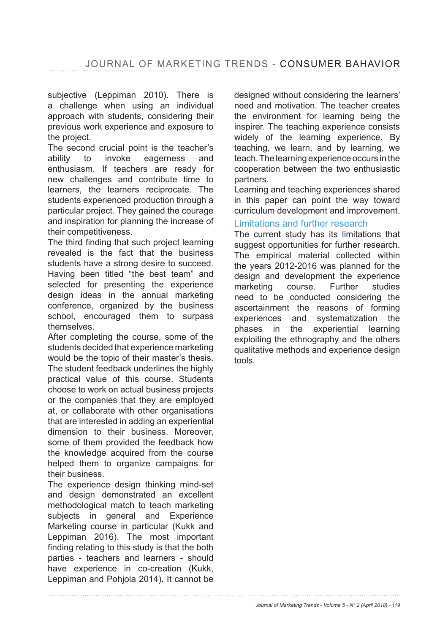subjective (Leppiman 2010). There is a challenge when using an individual approach with students, considering their previous work experience and exposure to the project.

The second crucial point is the teacher's ability to invoke eagerness and enthusiasm. If teachers are ready for new challenges and contribute time to learners, the learners reciprocate. The students experienced production through a particular project. They gained the courage and inspiration for planning the increase of their competitiveness.

The third finding that such project learning revealed is the fact that the business students have a strong desire to succeed. Having been titled "the best team" and selected for presenting the experience design ideas in the annual marketing conference, organized by the business school, encouraged them to surpass themselves.

After completing the course, some of the students decided that experience marketing would be the topic of their master's thesis. The student feedback underlines the highly practical value of this course. Students choose to work on actual business projects or the companies that they are employed at, or collaborate with other organisations that are interested in adding an experiential dimension to their business. Moreover, some of them provided the feedback how the knowledge acquired from the course helped them to organize campaigns for their business.

The experience design thinking mind-set and design demonstrated an excellent methodological match to teach marketing subjects in general and Experience Marketing course in particular (Kukk and Leppiman 2016). The most important finding relating to this study is that the both parties - teachers and learners - should have experience in co-creation (Kukk, Leppiman and Pohjola 2014). It cannot be

designed without considering the learners' need and motivation. The teacher creates the environment for learning being the inspirer. The teaching experience consists widely of the learning experience. By teaching, we learn, and by learning, we teach. The learning experience occurs in the cooperation between the two enthusiastic partners.

Learning and teaching experiences shared in this paper can point the way toward curriculum development and improvement.

#### Limitations and further research

The current study has its limitations that suggest opportunities for further research. The empirical material collected within the years 2012-2016 was planned for the design and development the experience marketing course. Further studies need to be conducted considering the ascertainment the reasons of forming experiences and systematization the phases in the experiential learning exploiting the ethnography and the others qualitative methods and experience design tools.

*Journal of Marketing Trends - Volume 5 - N° 2 (April 2018) - 119*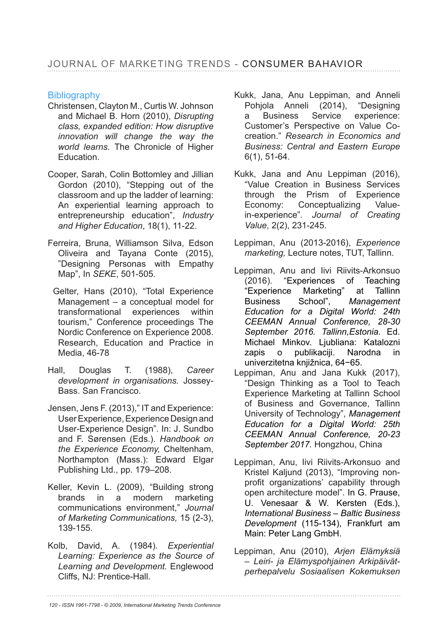### **Bibliography**

- Christensen, Clayton M., Curtis W. Johnson and Michael B. Horn (2010), *Disrupting class, expanded edition: How disruptive innovation will change the way the world learns.* The Chronicle of Higher **Education**
- Cooper, Sarah, Colin Bottomley and Jillian Gordon (2010), "Stepping out of the classroom and up the ladder of learning: An experiential learning approach to entrepreneurship education", *Industry and Higher Education*, 18(1), 11-22.
- Ferreira, Bruna, Williamson Silva, Edson Oliveira and Tayana Conte (2015), "Designing Personas with Empathy Map", In *SEKE*, 501-505.
- Gelter, Hans (2010), "Total Experience Management – a conceptual model for transformational experiences within tourism," Conference proceedings The Nordic Conference on Experience 2008. Research, Education and Practice in Media, 46-78
- Hall, Douglas T. (1988), *Career development in organisations.* Jossey-Bass. San Francisco.
- Jensen, Jens F. (2013)," IT and Experience: User Experience, Experience Design and User-Experience Design". In: J. Sundbo and F. Sørensen (Eds.). *Handbook on the Experience Economy,* Cheltenham, Northampton (Mass.): Edward Elgar Publishing Ltd., pp. 179-208.
- Keller, Kevin L. (2009), "Building strong brands in a modern marketing communications environment," *Journal of Marketing Communications,* 15 (2-3), 139-155.
- Kolb, David, A. (1984). *Experiential Learning: Experience as the Source of Learning and Development.* Englewood Cliffs, NJ: Prentice-Hall.
- Kukk, Jana, Anu Leppiman, and Anneli Pohiola Anneli (2014), "Designing a Business Service experience: Customer's Perspective on Value Cocreation." *Research in Economics and Business: Central and Eastern Europe* 6(1), 51-64.
- Kukk, Jana and Anu Leppiman (2016), "Value Creation in Business Services through the Prism of Experience Economy: Conceptualizing Valuein-experience". *Journal of Creating Value*, 2(2), 231-245.
- Leppiman, Anu (2013-2016), *Experience marketing,* Lecture notes, TUT, Tallinn.
- Leppiman, Anu and Iivi Riivits-Arkonsuo (2016). "Experiences of Teaching "Experience Marketing" at Tallinn Business School", *Management Education for a Digital World: 24th CEEMAN Annual Conference, 28-30 September 2016. Tallinn,Estonia.* Ed. Michael Minkov. Ljubliana: Katalozni zapis o publikaciji. Narodna in univerzitetna knjižnica, 64-65.
- Leppiman, Anu and Jana Kukk (2017), "Design Thinking as a Tool to Teach Experience Marketing at Tallinn School of Business and Governance, Tallinn University of Technology", *Management Education for a Digital World: 25th CEEMAN Annual Conference, 20-23 September 2017.* Hongzhou, China
- Leppiman, Anu, Iivi Riivits-Arkonsuo and Kristel Kaljund (2013), "Improving nonprofit organizations' capability through open architecture model". In G. Prause, U. Venesaar & W. Kersten (Eds.), *International Business – Baltic Business Development* (115-134), Frankfurt am Main: Peter Lang GmbH.
- Leppiman, Anu (2010), *Arjen Elämyksiä – Leiri- ja Elämyspohjainen Arkipäivätperhepalvelu Sosiaalisen Kokemuksen*

*120 - ISSN 1961-7798 - © 2009, International Marketing Trends Conference*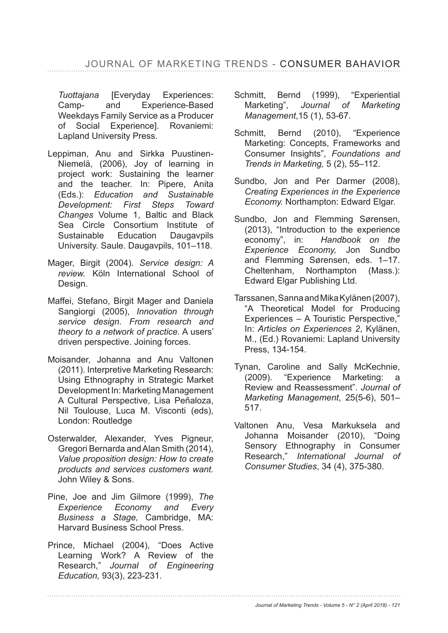*Tuottajana* [Everyday Experiences: Camp- and Experience-Based Weekdays Family Service as a Producer of Social Experience]. Rovaniemi: Lapland University Press.

- Leppiman, Anu and Sirkka Puustinen-Niemelä, (2006), Joy of learning in project work: Sustaining the learner and the teacher. In: Pipere, Anita (Eds.): *Education and Sustainable Development: First Steps Toward Changes* Volume 1, Baltic and Black Sea Circle Consortium Institute of Sustainable Education Daugavpils University. Saule. Daugavpils, 101–118.
- Mager, Birgit (2004). *Service design: A review.* Köln International School of Design.
- Maffei, Stefano, Birgit Mager and Daniela Sangiorgi (2005), *Innovation through service design. From research and theory to a network of practice.* A users' driven perspective. Joining forces.
- Moisander, Johanna and Anu Valtonen (2011). Interpretive Marketing Research: Using Ethnography in Strategic Market Development In: Marketing Management A Cultural Perspective. Lisa Peñaloza. Nil Toulouse, Luca M. Visconti (eds), London: Routledge
- Osterwalder, Alexander, Yves Pigneur, Gregori Bernarda and Alan Smith (2014), *Value proposition design: How to create products and services customers want.* John Wiley & Sons.
- Pine, Joe and Jim Gilmore (1999), *The Experience Economy and Every Business a Stage,* Cambridge, MA: Harvard Business School Press.
- Prince, Michael (2004), "Does Active Learning Work? A Review of the Research," *Journal of Engineering Education,* 93(3), 223-231.
- Schmitt, Bernd (1999), "Experiential Marketing", *Journal of Marketing Management*
- Schmitt, Bernd (2010), "Experience Marketing: Concepts, Frameworks and Consumer Insights", *Foundations and Trends in Marketing,* 5 (2), 55–112.
- Sundbo, Jon and Per Darmer (2008), *Creating Experiences in the Experience Economy.* Northampton: Edward Elgar.
- Sundbo, Jon and Flemming Sørensen, (2013), "Introduction to the experience economy", in: *Handbook on the Experience Economy,* Jon Sundbo and Flemming Sørensen, eds. 1-17. Cheltenham, Northampton (Mass.): Edward Elgar Publishing Ltd.
- Tarssanen, Sanna and Mika Kylänen (2007), "A Theoretical Model for Producing Experiences – A Touristic Perspective," In: *Articles on Experiences 2*, Kylänen, M., (Ed.) Rovaniemi: Lapland University Press, 134-154.
- Tynan, Caroline and Sally McKechnie, (2009). "Experience Marketing: a Review and Reassessment". *Journal of Marketing Management*, 25(5-6), 501– 517.
- Valtonen Anu, Vesa Markuksela and Johanna Moisander (2010), "Doing Sensory Ethnography in Consumer Research," *International Journal of Consumer Studies*

*Journal of Marketing Trends - Volume 5 - N° 2 (April 2018) - 121*